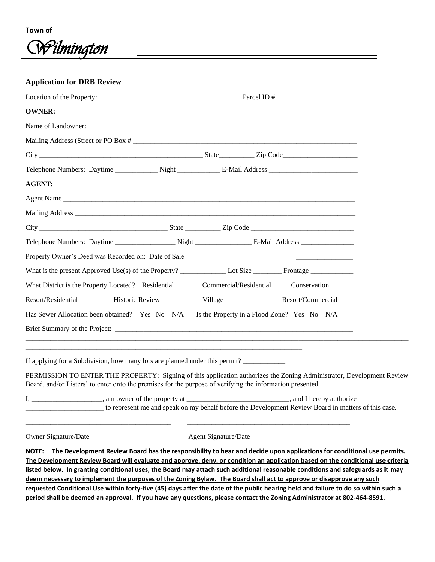

**Application for DRB Review**

Location of the Property: \_\_\_\_\_\_\_\_\_\_\_\_\_\_\_\_\_\_\_\_\_\_\_\_\_\_\_\_\_\_\_\_\_\_\_\_\_\_\_\_ Parcel ID # \_\_\_\_\_\_\_\_\_\_\_\_\_\_\_\_\_\_ **OWNER:** Name of Landowner: Mailing Address (Street or PO Box # City \_\_\_\_\_\_\_\_\_\_\_\_\_\_\_\_\_\_\_\_\_\_\_\_\_\_\_\_\_\_\_\_\_\_\_\_\_\_\_\_\_\_\_\_\_\_ State\_\_\_\_\_\_\_\_\_\_ Zip Code\_\_\_\_\_\_\_\_\_\_\_\_\_\_\_\_\_\_\_\_\_ Telephone Numbers: Daytime \_\_\_\_\_\_\_\_\_\_\_\_\_ Night \_\_\_\_\_\_\_\_\_\_\_\_\_\_ E-Mail Address \_\_\_\_\_\_\_\_\_\_\_\_\_\_\_\_\_\_\_\_\_\_ **AGENT:**  Agent Name Mailing Address \_\_\_\_\_\_\_\_\_\_\_\_\_\_\_\_\_\_\_\_\_\_\_\_\_\_\_\_\_\_\_\_\_\_\_\_\_\_\_\_\_\_\_\_\_\_\_\_\_\_\_\_\_\_\_\_\_\_\_\_\_\_\_\_\_\_\_\_\_\_\_\_\_\_\_\_\_\_\_ City \_\_\_\_\_\_\_\_\_\_\_\_\_\_\_\_\_\_\_\_\_\_\_\_\_\_\_\_\_\_\_\_\_\_\_\_ State \_\_\_\_\_\_\_\_\_\_ Zip Code \_\_\_\_\_\_\_\_\_\_\_\_\_\_\_\_\_\_\_\_\_\_\_\_\_\_\_\_\_ Telephone Numbers: Daytime \_\_\_\_\_\_\_\_\_\_\_\_\_\_\_\_\_\_\_\_Night \_\_\_\_\_\_\_\_\_\_\_\_\_\_\_\_\_\_\_\_\_\_\_\_\_\_\_\_ E-Mail Address \_\_\_\_\_\_\_\_\_\_\_\_\_ Property Owner's Deed was Recorded on: Date of Sale \_\_\_\_\_\_\_\_\_\_\_\_\_\_\_\_\_\_\_\_\_\_\_\_\_\_\_\_\_\_\_\_\_\_\_\_\_\_\_\_\_\_\_\_\_\_\_ What is the present Approved Use(s) of the Property? \_\_\_\_\_\_\_\_\_\_\_\_\_ Lot Size \_\_\_\_\_\_\_\_ Frontage \_\_\_\_\_\_\_\_\_\_\_\_ What District is the Property Located? Residential Commercial/Residential Conservation Resort/Residential Historic Review Village Resort/Commercial Has Sewer Allocation been obtained? Yes No N/A Is the Property in a Flood Zone? Yes No N/A Brief Summary of the Project: \_\_\_\_\_\_\_\_\_\_\_\_\_\_\_\_\_\_\_\_\_\_\_\_\_\_\_\_\_\_\_\_\_\_\_\_\_\_\_\_\_\_\_\_\_\_\_\_\_\_\_\_\_\_\_\_\_\_\_\_\_\_\_\_\_\_\_\_\_\_\_\_\_\_\_\_\_\_\_\_\_\_\_\_\_\_\_\_\_\_\_\_\_\_\_\_\_\_\_\_\_\_\_\_\_\_\_\_ \_\_\_\_\_\_\_\_\_\_\_\_\_\_\_\_\_\_\_\_\_\_\_\_\_\_\_\_\_\_\_\_\_\_\_\_\_\_\_\_\_\_\_\_\_\_\_\_\_\_\_\_\_\_\_\_\_\_\_\_\_\_\_\_\_\_\_\_\_\_\_\_\_\_\_\_\_\_ If applying for a Subdivision, how many lots are planned under this permit? PERMISSION TO ENTER THE PROPERTY: Signing of this application authorizes the Zoning Administrator, Development Review Board, and/or Listers' to enter onto the premises for the purpose of verifying the information presented.

I, \_\_\_\_\_\_\_\_\_\_\_\_\_\_\_\_, am owner of the property at \_\_\_\_\_\_\_\_\_\_\_\_\_\_\_\_\_\_\_\_\_\_\_\_\_\_\_, and I hereby authorize \_\_\_\_\_\_\_\_\_\_\_\_\_\_\_\_\_\_\_\_\_\_ to represent me and speak on my behalf before the Development Review Board in matters of this case.

\_\_\_\_\_\_\_\_\_\_\_\_\_\_\_\_\_\_\_\_\_\_\_\_\_\_\_\_\_\_\_\_\_\_\_\_\_\_\_\_\_ \_\_\_\_\_\_\_\_\_\_\_\_\_\_\_\_\_\_\_\_\_\_\_\_\_\_\_\_\_\_\_\_\_\_\_\_\_\_\_\_\_\_\_\_\_\_

Owner Signature/Date Agent Signature/Date

**NOTE: The Development Review Board has the responsibility to hear and decide upon applications for conditional use permits. The Development Review Board will evaluate and approve, deny, or condition an application based on the conditional use criteria listed below. In granting conditional uses, the Board may attach such additional reasonable conditions and safeguards as it may deem necessary to implement the purposes of the Zoning Bylaw. The Board shall act to approve or disapprove any such requested Conditional Use within forty-five (45) days after the date of the public hearing held and failure to do so within such a period shall be deemed an approval. If you have any questions, please contact the Zoning Administrator at 802-464-8591.**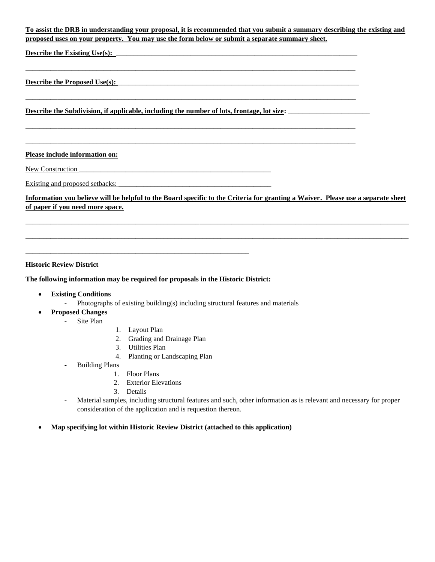## **To assist the DRB in understanding your proposal, it is recommended that you submit a summary describing the existing and proposed uses on your property. You may use the form below or submit a separate summary sheet.**

 $\_$  ,  $\_$  ,  $\_$  ,  $\_$  ,  $\_$  ,  $\_$  ,  $\_$  ,  $\_$  ,  $\_$  ,  $\_$  ,  $\_$  ,  $\_$  ,  $\_$  ,  $\_$  ,  $\_$  ,  $\_$  ,  $\_$  ,  $\_$  ,  $\_$  ,  $\_$  ,  $\_$  ,  $\_$  ,  $\_$  ,  $\_$  ,  $\_$  ,  $\_$  ,  $\_$  ,  $\_$  ,  $\_$  ,  $\_$  ,  $\_$  ,  $\_$  ,  $\_$  ,  $\_$  ,  $\_$  ,  $\_$  ,  $\_$  ,

 $\_$  ,  $\_$  ,  $\_$  ,  $\_$  ,  $\_$  ,  $\_$  ,  $\_$  ,  $\_$  ,  $\_$  ,  $\_$  ,  $\_$  ,  $\_$  ,  $\_$  ,  $\_$  ,  $\_$  ,  $\_$  ,  $\_$  ,  $\_$  ,  $\_$  ,  $\_$  ,  $\_$  ,  $\_$  ,  $\_$  ,  $\_$  ,  $\_$  ,  $\_$  ,  $\_$  ,  $\_$  ,  $\_$  ,  $\_$  ,  $\_$  ,  $\_$  ,  $\_$  ,  $\_$  ,  $\_$  ,  $\_$  ,  $\_$  ,

\_\_\_\_\_\_\_\_\_\_\_\_\_\_\_\_\_\_\_\_\_\_\_\_\_\_\_\_\_\_\_\_\_\_\_\_\_\_\_\_\_\_\_\_\_\_\_\_\_\_\_\_\_\_\_\_\_\_\_\_\_\_\_\_\_\_\_\_\_\_\_\_\_\_\_\_\_\_\_\_\_\_\_\_\_\_\_\_\_\_\_\_\_

 $\_$  ,  $\_$  ,  $\_$  ,  $\_$  ,  $\_$  ,  $\_$  ,  $\_$  ,  $\_$  ,  $\_$  ,  $\_$  ,  $\_$  ,  $\_$  ,  $\_$  ,  $\_$  ,  $\_$  ,  $\_$  ,  $\_$  ,  $\_$  ,  $\_$  ,  $\_$  ,  $\_$  ,  $\_$  ,  $\_$  ,  $\_$  ,  $\_$  ,  $\_$  ,  $\_$  ,  $\_$  ,  $\_$  ,  $\_$  ,  $\_$  ,  $\_$  ,  $\_$  ,  $\_$  ,  $\_$  ,  $\_$  ,  $\_$  ,

**Describe the Existing Use(s):** 

# Describe the Proposed Use(s):

**Describe the Subdivision, if applicable, including the number of lots, frontage, lot size:** \_\_\_\_\_\_\_\_\_\_\_\_\_\_\_\_\_\_\_\_\_\_\_

#### **Please include information on:**

New Construction

Existing and proposed setbacks:

**Information you believe will be helpful to the Board specific to the Criteria for granting a Waiver. Please use a separate sheet of paper if you need more space.**

\_\_\_\_\_\_\_\_\_\_\_\_\_\_\_\_\_\_\_\_\_\_\_\_\_\_\_\_\_\_\_\_\_\_\_\_\_\_\_\_\_\_\_\_\_\_\_\_\_\_\_\_\_\_\_\_\_\_\_\_\_\_\_\_\_\_\_\_\_\_\_\_\_\_\_\_\_\_\_\_\_\_\_\_\_\_\_\_\_\_\_\_\_\_\_\_\_\_\_\_\_\_\_\_\_\_\_\_

\_\_\_\_\_\_\_\_\_\_\_\_\_\_\_\_\_\_\_\_\_\_\_\_\_\_\_\_\_\_\_\_\_\_\_\_\_\_\_\_\_\_\_\_\_\_\_\_\_\_\_\_\_\_\_\_\_\_\_\_\_\_\_\_\_\_\_\_\_\_\_\_\_\_\_\_\_\_\_\_\_\_\_\_\_\_\_\_\_\_\_\_\_\_\_\_\_\_\_\_\_\_\_\_\_\_\_\_

#### **Historic Review District**

#### **The following information may be required for proposals in the Historic District:**

\_\_\_\_\_\_\_\_\_\_\_\_\_\_\_\_\_\_\_\_\_\_\_\_\_\_\_\_\_\_\_\_\_\_\_\_\_\_\_\_\_\_\_\_\_\_\_\_\_\_\_\_\_\_\_\_\_\_\_\_\_\_\_

- **Existing Conditions** 
	- Photographs of existing building(s) including structural features and materials
	- **Proposed Changes** 
		- Site Plan
- 1. Layout Plan
- 2. Grading and Drainage Plan
- 3. Utilities Plan
- 4. Planting or Landscaping Plan
- Building Plans
	- 1. Floor Plans
	- 2. Exterior Elevations
	- 3. Details
- Material samples, including structural features and such, other information as is relevant and necessary for proper consideration of the application and is requestion thereon.
- **Map specifying lot within Historic Review District (attached to this application)**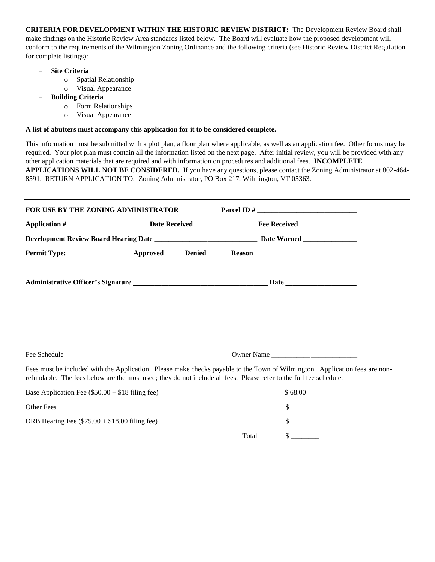**CRITERIA FOR DEVELOPMENT WITHIN THE HISTORIC REVIEW DISTRICT:** The Development Review Board shall make findings on the Historic Review Area standards listed below. The Board will evaluate how the proposed development will conform to the requirements of the Wilmington Zoning Ordinance and the following criteria (see Historic Review District Regulation for complete listings):

- **Site Criteria** 
	- o Spatial Relationship
	- o Visual Appearance
- **Building Criteria** 
	- o Form Relationships
	- o Visual Appearance

## **A list of abutters must accompany this application for it to be considered complete.**

This information must be submitted with a plot plan, a floor plan where applicable, as well as an application fee. Other forms may be required. Your plot plan must contain all the information listed on the next page. After initial review, you will be provided with any other application materials that are required and with information on procedures and additional fees. **INCOMPLETE APPLICATIONS WILL NOT BE CONSIDERED.** If you have any questions, please contact the Zoning Administrator at 802-464- 8591. RETURN APPLICATION TO: Zoning Administrator, PO Box 217, Wilmington, VT 05363.

| FOR USE BY THE ZONING ADMINISTRATOR |  |  |
|-------------------------------------|--|--|
|                                     |  |  |
|                                     |  |  |
|                                     |  |  |
|                                     |  |  |

Fee Schedule Owner Name \_\_\_\_\_\_\_\_\_\_\_\_\_\_\_\_\_\_\_\_\_\_\_\_

Fees must be included with the Application. Please make checks payable to the Town of Wilmington. Application fees are nonrefundable. The fees below are the most used; they do not include all fees. Please refer to the full fee schedule.

| Base Application Fee $(\$50.00 + \$18$ filing fee) |       | \$68.00 |
|----------------------------------------------------|-------|---------|
| Other Fees                                         |       |         |
| DRB Hearing Fee $(\$75.00 + \$18.00$ filing fee)   |       |         |
|                                                    | Total |         |